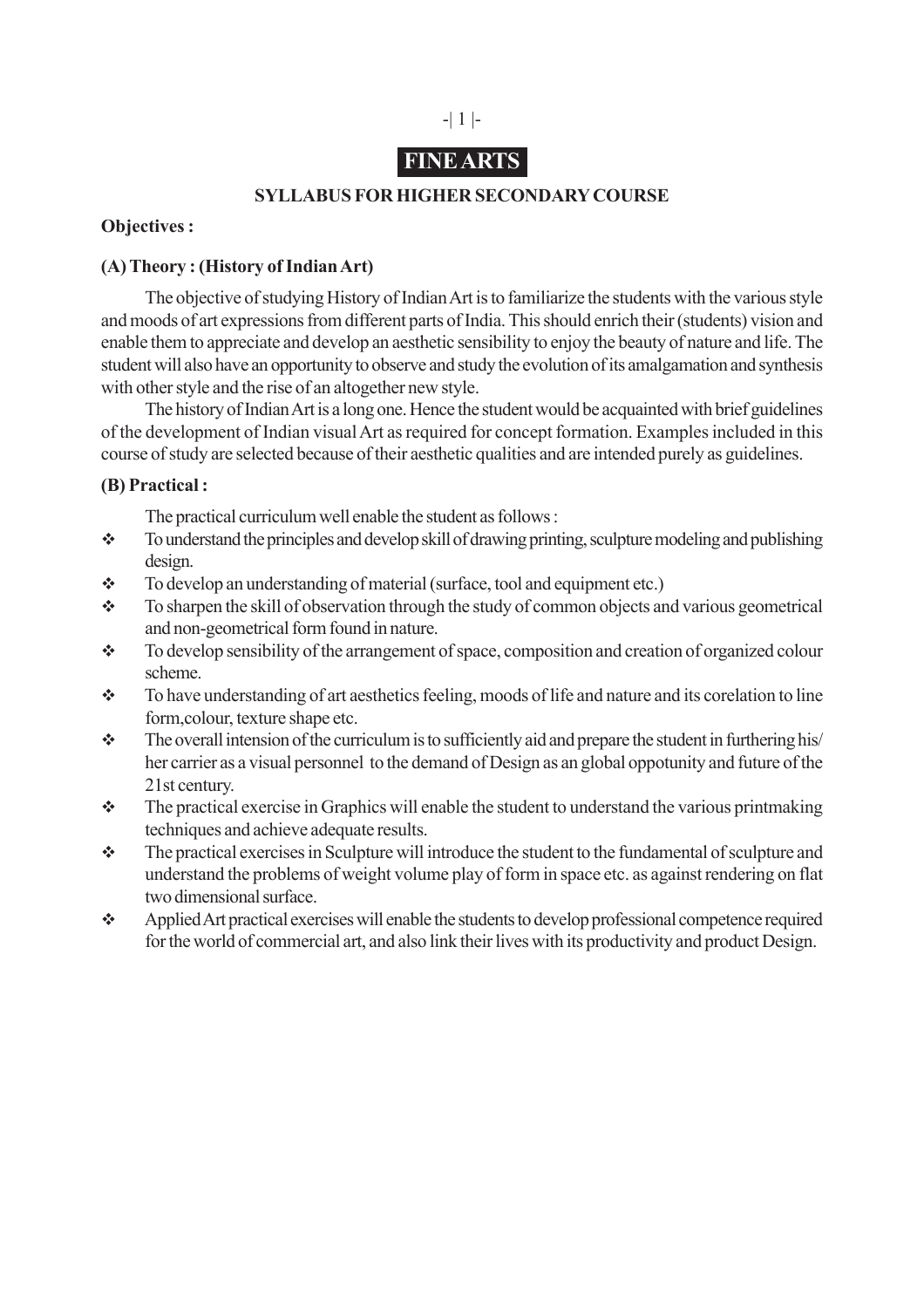## -| 1 |-

## **FINE ARTS**

## **SYLLABUS FOR HIGHER SECONDARY COURSE**

## **Objectives :**

## **(A) Theory : (History of Indian Art)**

The objective of studying History of Indian Art is to familiarize the students with the various style and moods of art expressions from different parts of India. This should enrich their (students) vision and enable them to appreciate and develop an aesthetic sensibility to enjoy the beauty of nature and life. The student will also have an opportunity to observe and study the evolution of its amalgamation and synthesis with other style and the rise of an altogether new style.

The history of Indian Art is a long one. Hence the student would be acquainted with brief guidelines of the development of Indian visual Art as required for concept formation. Examples included in this course of study are selected because of their aesthetic qualities and are intended purely as guidelines.

## **(B) Practical :**

The practical curriculum well enable the student as follows :

- To understand the principles and develop skill of drawing printing, sculpture modeling and publishing design.
- $\div$  To develop an understanding of material (surface, tool and equipment etc.)
- $\bullet$  To sharpen the skill of observation through the study of common objects and various geometrical and non-geometrical form found in nature.
- $\bullet$  To develop sensibility of the arrangement of space, composition and creation of organized colour scheme.
- To have understanding of art aesthetics feeling, moods of life and nature and its corelation to line form,colour, texture shape etc.
- The overall intension of the curriculum is to sufficiently aid and prepare the student in furthering his/ her carrier as a visual personnel to the demand of Design as an global oppotunity and future of the 21st century.
- The practical exercise in Graphics will enable the student to understand the various printmaking techniques and achieve adequate results.
- The practical exercises in Sculpture will introduce the student to the fundamental of sculpture and understand the problems of weight volume play of form in space etc. as against rendering on flat two dimensional surface.
- Applied Art practical exercises will enable the students to develop professional competence required for the world of commercial art, and also link their lives with its productivity and product Design.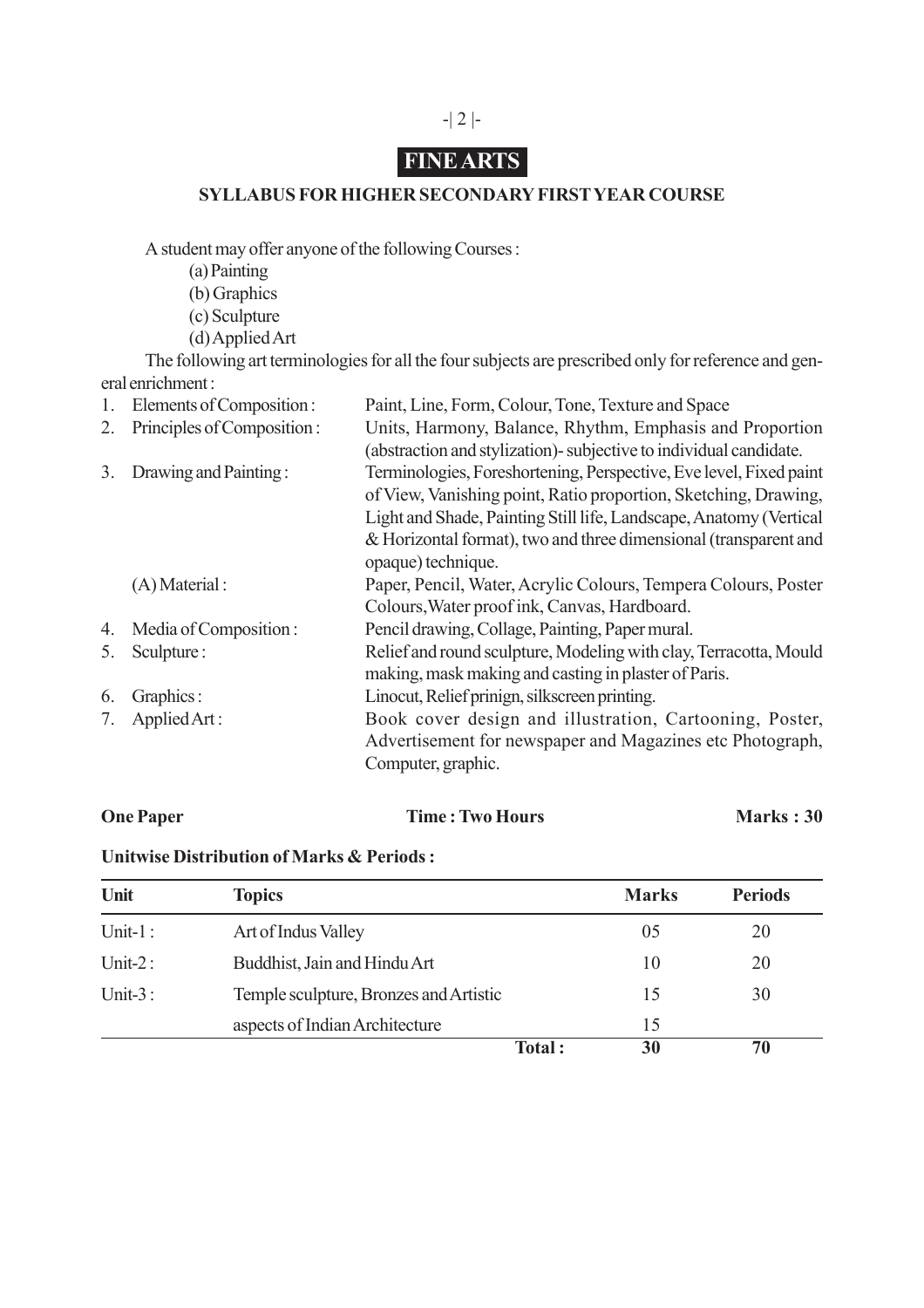## -| 2 |-

# **FINE ARTS**

## **SYLLABUS FOR HIGHER SECONDARY FIRST YEAR COURSE**

A student may offer anyone of the following Courses :

- (a) Painting
- (b) Graphics
- (c) Sculpture
- (d) Applied Art

The following art terminologies for all the four subjects are prescribed only for reference and general enrichment :

| 1. | Elements of Composition:   | Paint, Line, Form, Colour, Tone, Texture and Space                  |
|----|----------------------------|---------------------------------------------------------------------|
| 2. | Principles of Composition: | Units, Harmony, Balance, Rhythm, Emphasis and Proportion            |
|    |                            | (abstraction and stylization) - subjective to individual candidate. |
| 3. | Drawing and Painting:      | Terminologies, Foreshortening, Perspective, Eve level, Fixed paint  |
|    |                            | of View, Vanishing point, Ratio proportion, Sketching, Drawing,     |
|    |                            | Light and Shade, Painting Still life, Landscape, Anatomy (Vertical  |
|    |                            | & Horizontal format), two and three dimensional (transparent and    |
|    |                            | opaque) technique.                                                  |
|    | $(A)$ Material :           | Paper, Pencil, Water, Acrylic Colours, Tempera Colours, Poster      |
|    |                            | Colours, Water proof ink, Canvas, Hardboard.                        |
| 4. | Media of Composition:      | Pencil drawing, Collage, Painting, Paper mural.                     |
| 5. | Sculpture:                 | Relief and round sculpture, Modeling with clay, Terracotta, Mould   |
|    |                            | making, mask making and casting in plaster of Paris.                |
| 6. | Graphics:                  | Linocut, Relief prinign, silkscreen printing.                       |
|    | Applied Art:               | Book cover design and illustration, Cartooning, Poster,             |
|    |                            | Advertisement for newspaper and Magazines etc Photograph,           |
|    |                            | Computer, graphic.                                                  |

## **One Paper Time : Two Hours Marks : 30**

## **Unitwise Distribution of Marks & Periods :**

| Unit       | <b>Topics</b>                          | <b>Marks</b> | <b>Periods</b> |
|------------|----------------------------------------|--------------|----------------|
| Unit- $1:$ | Art of Indus Valley                    | 05           | 20             |
| Unit- $2:$ | Buddhist, Jain and Hindu Art           | 10           | 20             |
| Unit- $3:$ | Temple sculpture, Bronzes and Artistic | 15           | 30             |
|            | aspects of Indian Architecture         | 15           |                |
|            | Total:                                 | 30           | 70             |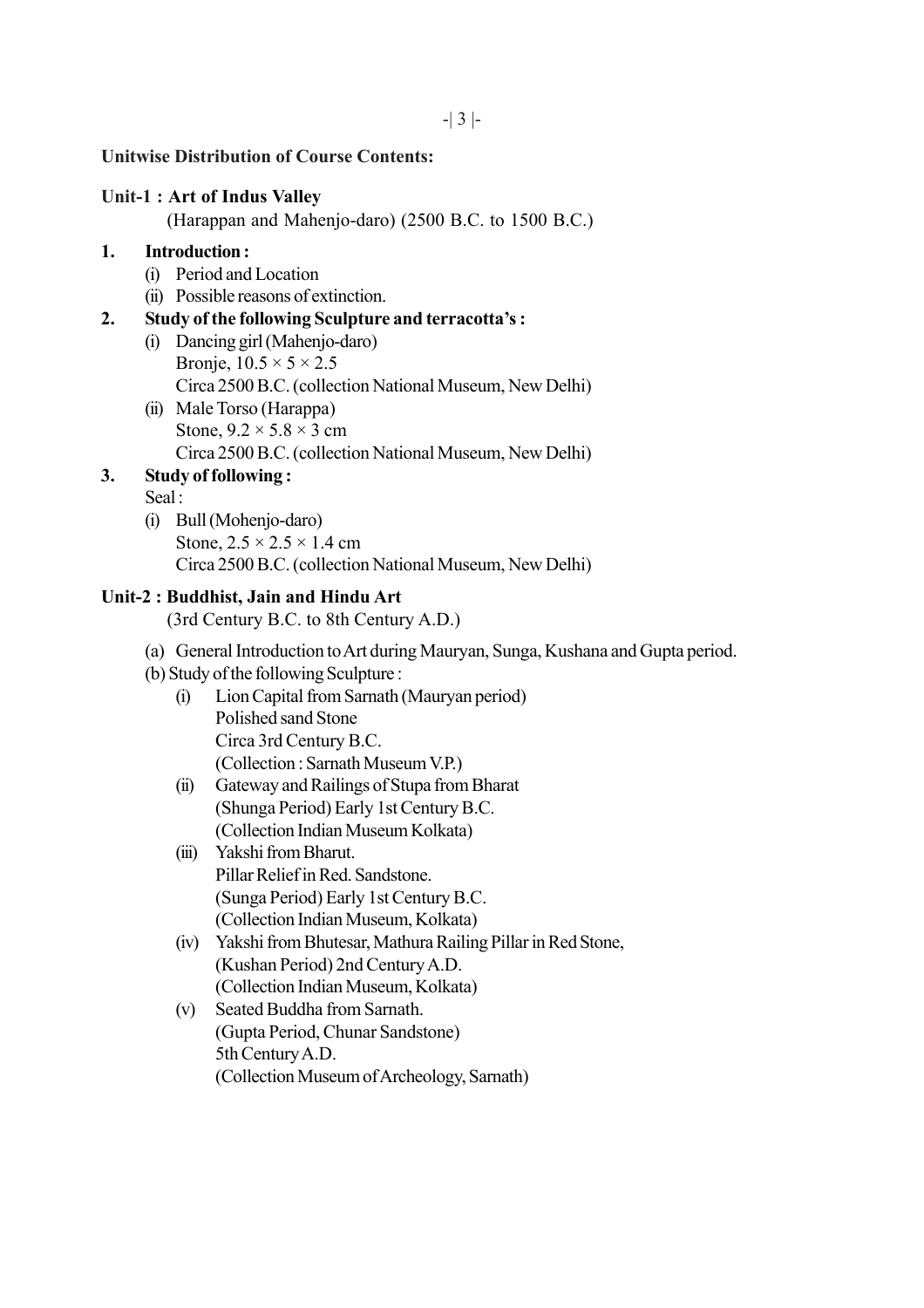## **Unitwise Distribution of Course Contents:**

#### **Unit-1 : Art of Indus Valley**

(Harappan and Mahenjo-daro) (2500 B.C. to 1500 B.C.)

## **1. Introduction :**

- (i) Period and Location
- (ii) Possible reasons of extinction.

## **2. Study of the following Sculpture and terracotta's :**

- (i) Dancing girl (Mahenjo-daro) Bronje,  $10.5 \times 5 \times 2.5$ Circa 2500 B.C. (collection National Museum, New Delhi)
- (ii) Male Torso (Harappa) Stone,  $9.2 \times 5.8 \times 3$  cm Circa 2500 B.C. (collection National Museum, New Delhi)

## **3. Study of following :**

Seal :

(i) Bull (Mohenjo-daro) Stone,  $2.5 \times 2.5 \times 1.4$  cm Circa 2500 B.C. (collection National Museum, New Delhi)

## **Unit-2 : Buddhist, Jain and Hindu Art**

(3rd Century B.C. to 8th Century A.D.)

- (a) General Introduction to Art during Mauryan, Sunga, Kushana and Gupta period.
- (b) Study of the following Sculpture :
	- (i) Lion Capital from Sarnath (Mauryan period) Polished sand Stone Circa 3rd Century B.C. (Collection : Sarnath Museum V.P.)
	- (ii) Gateway and Railings of Stupa from Bharat (Shunga Period) Early 1st Century B.C. (Collection Indian Museum Kolkata)
	- (iii) Yakshi from Bharut. Pillar Relief in Red. Sandstone. (Sunga Period) Early 1st Century B.C. (Collection Indian Museum, Kolkata)
	- (iv) Yakshi from Bhutesar, Mathura Railing Pillar in Red Stone, (Kushan Period) 2nd Century A.D. (Collection Indian Museum, Kolkata)
	- (v) Seated Buddha from Sarnath. (Gupta Period, Chunar Sandstone) 5th Century A.D. (Collection Museum of Archeology, Sarnath)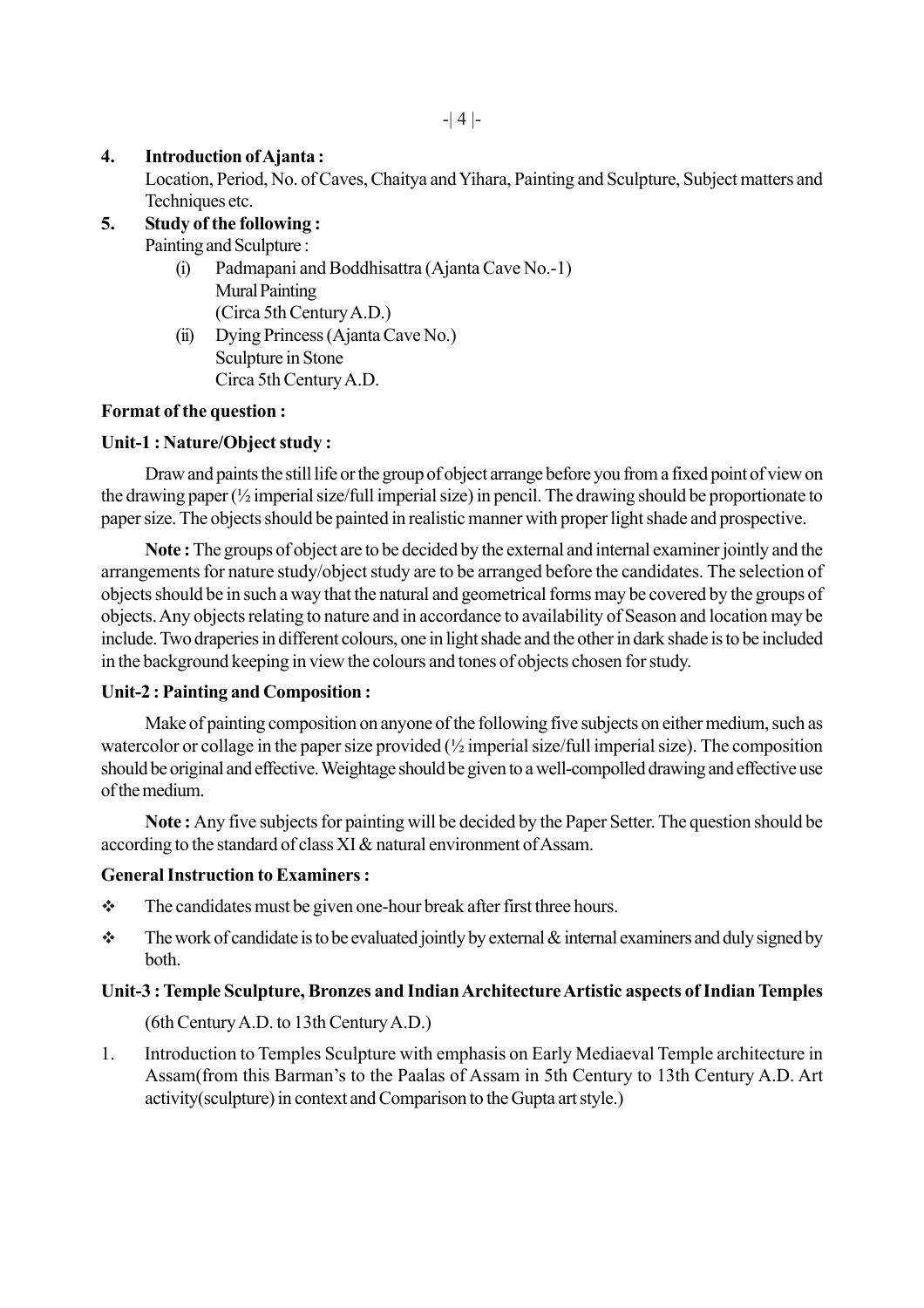## **4. Introduction of Ajanta :**

Location, Period, No. of Caves, Chaitya and Yihara, Painting and Sculpture, Subject matters and Techniques etc.

## **5. Study of the following :**

Painting and Sculpture :

- (i) Padmapani and Boddhisattra (Ajanta Cave No.-1) Mural Painting (Circa 5th Century A.D.)
- (ii) Dying Princess (Ajanta Cave No.) Sculpture in Stone Circa 5th Century A.D.

## **Format of the question :**

## **Unit-1 : Nature/Object study :**

Draw and paints the still life or the group of object arrange before you from a fixed point of view on the drawing paper (½ imperial size/full imperial size) in pencil. The drawing should be proportionate to paper size. The objects should be painted in realistic manner with proper light shade and prospective.

**Note :** The groups of object are to be decided by the external and internal examiner jointly and the arrangements for nature study/object study are to be arranged before the candidates. The selection of objects should be in such a way that the natural and geometrical forms may be covered by the groups of objects. Any objects relating to nature and in accordance to availability of Season and location may be include. Two draperies in different colours, one in light shade and the other in dark shade is to be included in the background keeping in view the colours and tones of objects chosen for study.

## **Unit-2 : Painting and Composition :**

Make of painting composition on anyone of the following five subjects on either medium, such as watercolor or collage in the paper size provided (½ imperial size/full imperial size). The composition should be original and effective. Weightage should be given to a well-compolled drawing and effective use of the medium.

**Note :** Any five subjects for painting will be decided by the Paper Setter. The question should be according to the standard of class XI & natural environment of Assam.

## **General Instruction to Examiners :**

- $\triangle$  The candidates must be given one-hour break after first three hours.
- $\cdot \cdot$  The work of candidate is to be evaluated jointly by external  $\&$  internal examiners and duly signed by both.

## **Unit-3 : Temple Sculpture, Bronzes and Indian Architecture Artistic aspects of Indian Temples**

(6th Century A.D. to 13th Century A.D.)

1. Introduction to Temples Sculpture with emphasis on Early Mediaeval Temple architecture in Assam(from this Barman's to the Paalas of Assam in 5th Century to 13th Century A.D. Art activity(sculpture) in context and Comparison to the Gupta art style.)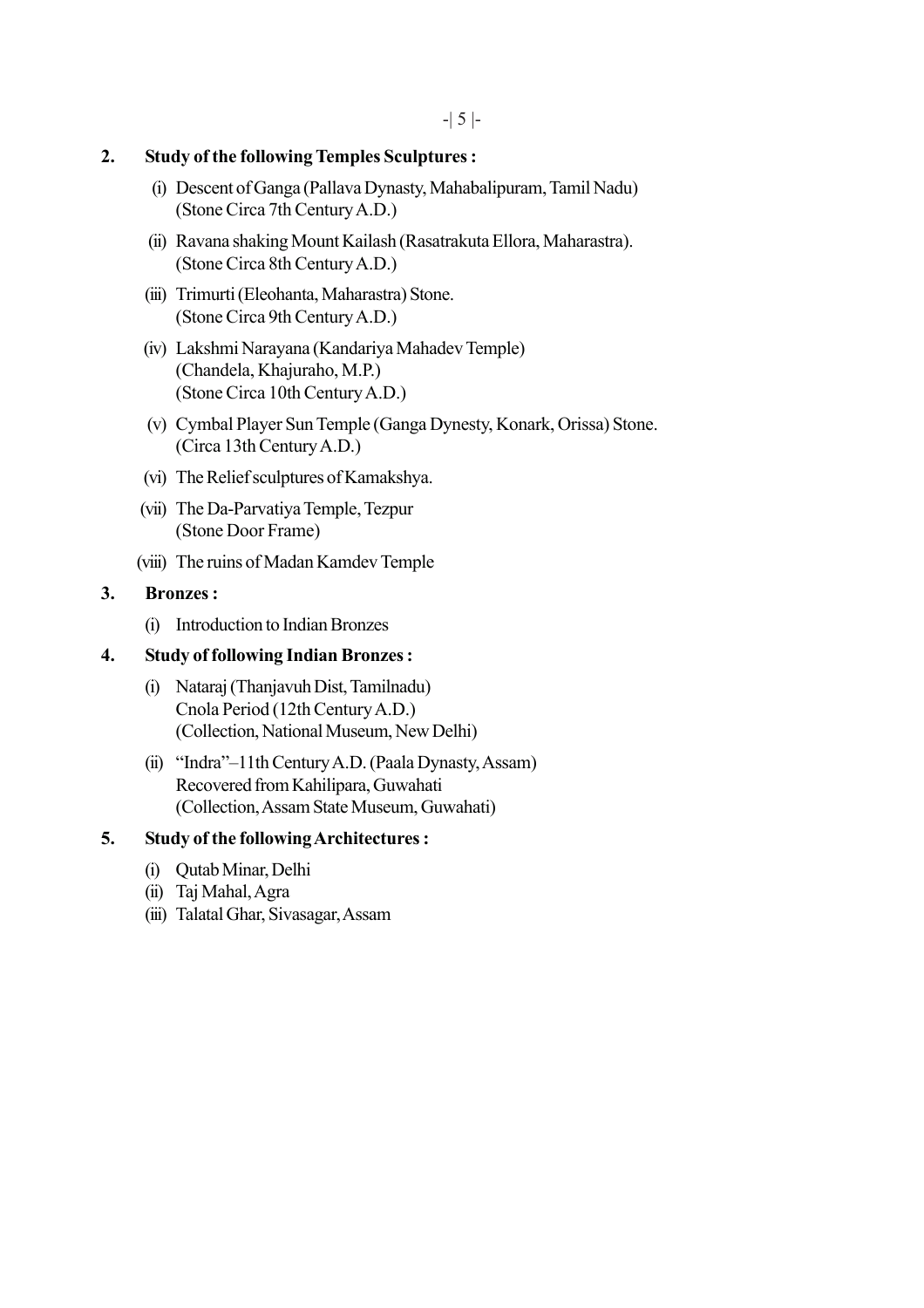## **2. Study of the following Temples Sculptures :**

- (i) Descent of Ganga (Pallava Dynasty, Mahabalipuram, Tamil Nadu) (Stone Circa 7th Century A.D.)
- (ii) Ravana shaking Mount Kailash (Rasatrakuta Ellora, Maharastra). (Stone Circa 8th Century A.D.)
- (iii) Trimurti (Eleohanta, Maharastra) Stone. (Stone Circa 9th Century A.D.)
- (iv) Lakshmi Narayana (Kandariya Mahadev Temple) (Chandela, Khajuraho, M.P.) (Stone Circa 10th Century A.D.)
- (v) Cymbal Player Sun Temple (Ganga Dynesty, Konark, Orissa) Stone. (Circa 13th Century A.D.)
- (vi) The Relief sculptures of Kamakshya.
- (vii) The Da-Parvatiya Temple, Tezpur (Stone Door Frame)
- (viii) The ruins of Madan Kamdev Temple

## **3. Bronzes :**

(i) Introduction to Indian Bronzes

## **4. Study of following Indian Bronzes :**

- (i) Nataraj (Thanjavuh Dist, Tamilnadu) Cnola Period (12th Century A.D.) (Collection, National Museum, New Delhi)
- (ii) "Indra"–11th Century A.D. (Paala Dynasty, Assam) Recovered from Kahilipara, Guwahati (Collection, Assam State Museum, Guwahati)

## **5. Study of the following Architectures :**

- (i) Qutab Minar, Delhi
- (ii) Taj Mahal, Agra
- (iii) Talatal Ghar, Sivasagar, Assam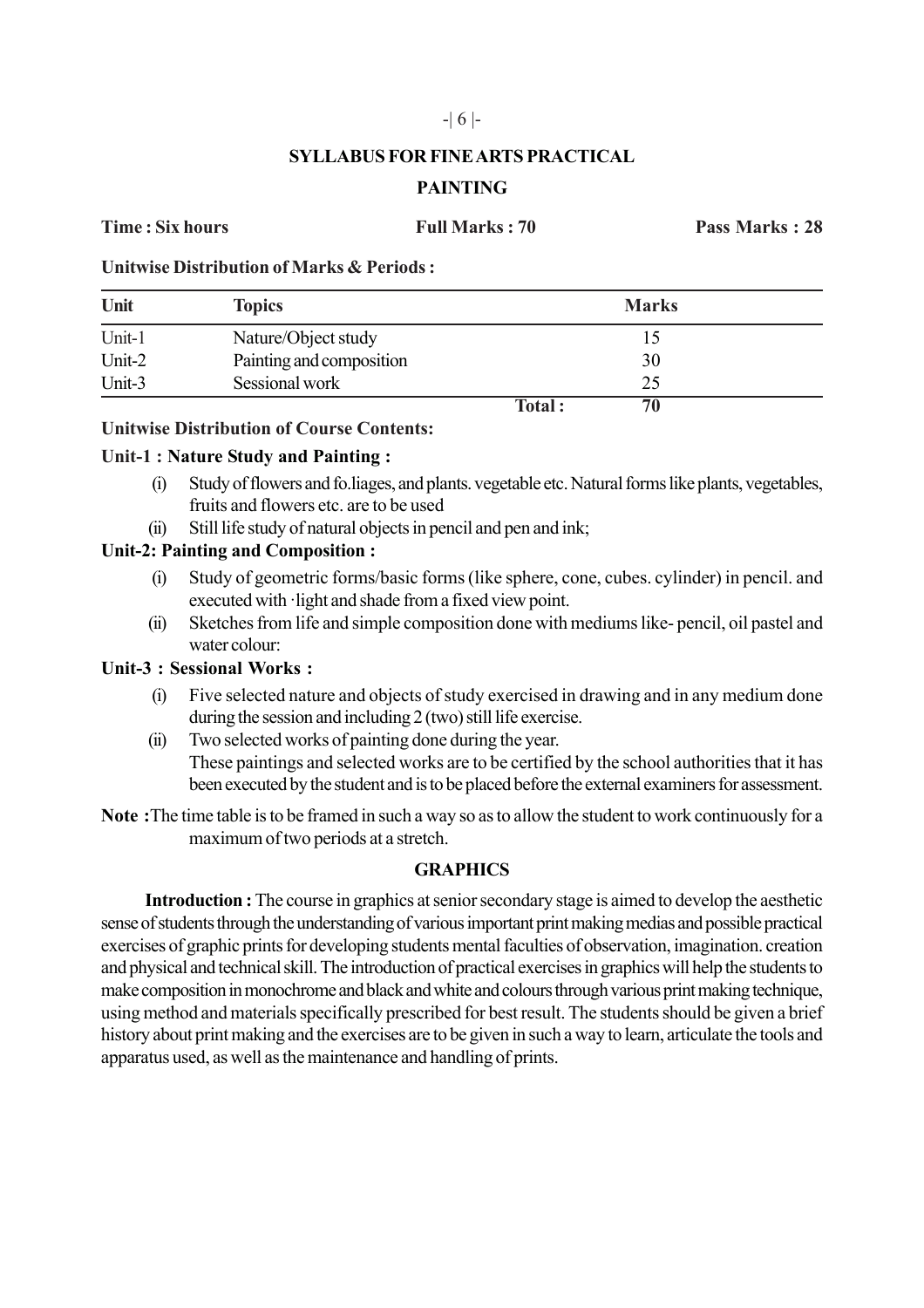## -| 6 |-

## **SYLLABUS FOR FINE ARTS PRACTICAL PAINTING**

**Time : Six hours Full Marks : 70 Pass Marks : 28**

**Unitwise Distribution of Marks & Periods :**

| Unit   | <b>Topics</b>            |        | <b>Marks</b> |
|--------|--------------------------|--------|--------------|
| Unit-1 | Nature/Object study      |        |              |
| Unit-2 | Painting and composition |        | 30           |
| Unit-3 | Sessional work           |        | 25           |
|        |                          | Total: | 70           |

## **Unitwise Distribution of Course Contents:**

## **Unit-1 : Nature Study and Painting :**

- (i) Study of flowers and fo.liages, and plants. vegetable etc. Natural forms like plants, vegetables, fruits and flowers etc. are to be used
- (ii) Still life study of natural objects in pencil and pen and ink;

## **Unit-2: Painting and Composition :**

- (i) Study of geometric forms/basic forms (like sphere, cone, cubes. cylinder) in pencil. and executed with ·light and shade from a fixed view point.
- (ii) Sketches from life and simple composition done with mediums like- pencil, oil pastel and water colour:

## **Unit-3 : Sessional Works :**

- (i) Five selected nature and objects of study exercised in drawing and in any medium done during the session and including 2 (two) still life exercise.
- (ii) Two selected works of painting done during the year. These paintings and selected works are to be certified by the school authorities that it has been executed by the student and is to be placed before the external examiners for assessment.
- **Note :**The time table is to be framed in such a way so as to allow the student to work continuously for a maximum of two periods at a stretch.

## **GRAPHICS**

**Introduction :** The course in graphics at senior secondary stage is aimed to develop the aesthetic sense of students through the understanding of various important print making medias and possible practical exercises of graphic prints for developing students mental faculties of observation, imagination. creation and physical and technical skill. The introduction of practical exercises in graphics will help the students to make composition in monochrome and black and white and colours through various print making technique, using method and materials specifically prescribed for best result. The students should be given a brief history about print making and the exercises are to be given in such a way to learn, articulate the tools and apparatus used, as well as the maintenance and handling of prints.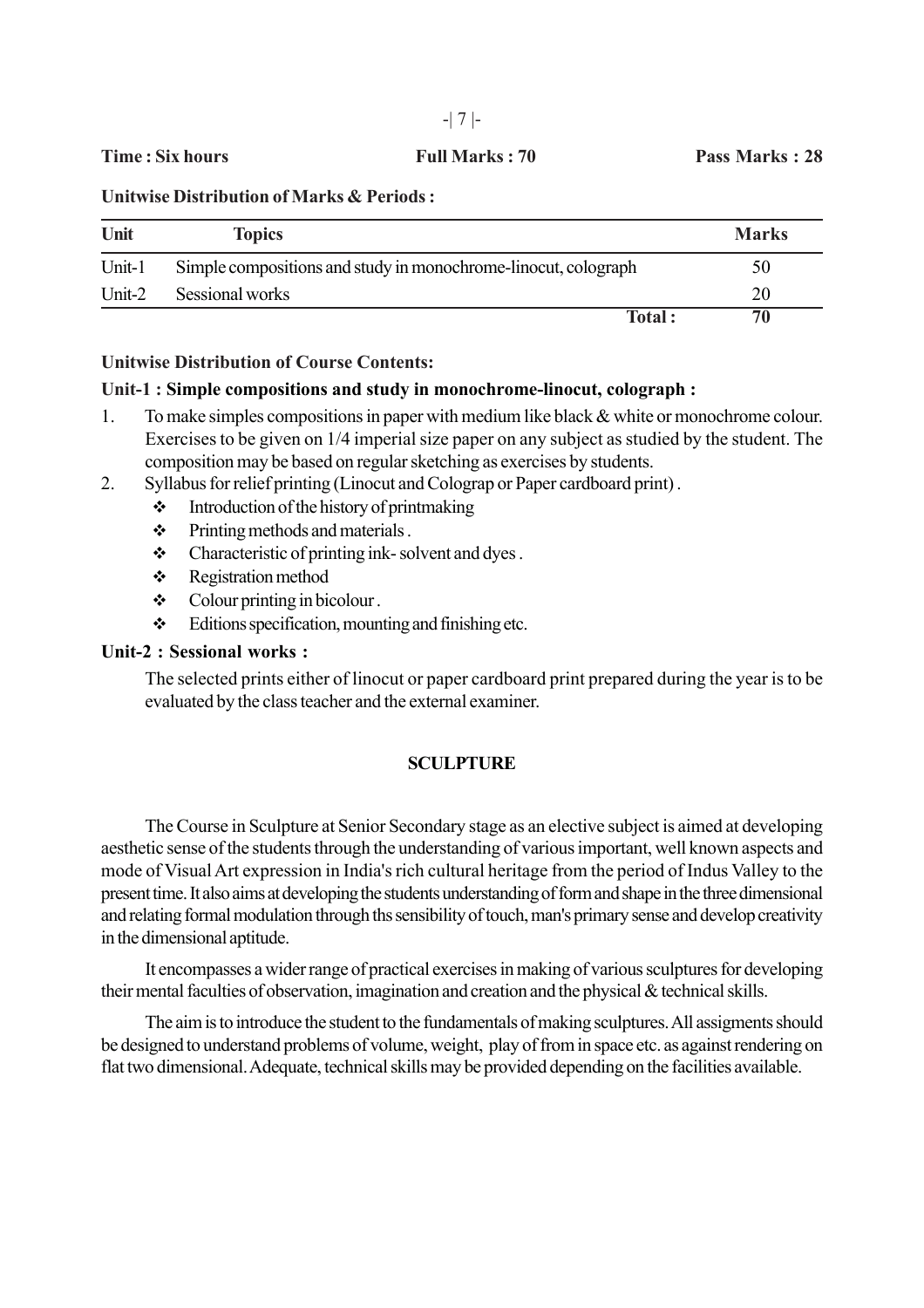**Time : Six hours Full Marks : 70 Pass Marks : 28**

**Unitwise Distribution of Marks & Periods :**

| Unit   | <b>Topics</b>                                                  | <b>Marks</b> |
|--------|----------------------------------------------------------------|--------------|
| Unit-1 | Simple compositions and study in monochrome-linocut, colograph | 50           |
| Unit-2 | Sessional works                                                | 20           |
|        | Total:                                                         | 70           |

## **Unitwise Distribution of Course Contents:**

## **Unit-1 : Simple compositions and study in monochrome-linocut, colograph :**

1. To make simples compositions in paper with medium like black & white or monochrome colour. Exercises to be given on 1/4 imperial size paper on any subject as studied by the student. The composition may be based on regular sketching as exercises by students.

2. Syllabus for relief printing (Linocut and Colograp or Paper cardboard print) .

- $\div$  Introduction of the history of printmaking
- $\div$  Printing methods and materials .
- $\triangleleft$  Characteristic of printing ink-solvent and dyes.
- \* Registration method
- $\div$  Colour printing in bicolour.
- $\div$  Editions specification, mounting and finishing etc.

## **Unit-2 : Sessional works :**

The selected prints either of linocut or paper cardboard print prepared during the year is to be evaluated by the class teacher and the external examiner.

## **SCULPTURE**

The Course in Sculpture at Senior Secondary stage as an elective subject is aimed at developing aesthetic sense of the students through the understanding of various important, well known aspects and mode of Visual Art expression in India's rich cultural heritage from the period of Indus Valley to the present time. It also aims at developing the students understanding of form and shape in the three dimensional and relating formal modulation through ths sensibility of touch, man's primary sense and develop creativity in the dimensional aptitude.

It encompasses a wider range of practical exercises in making of various sculptures for developing their mental faculties of observation, imagination and creation and the physical & technical skills.

The aim is to introduce the student to the fundamentals of making sculptures. All assigments should be designed to understand problems of volume, weight, play of from in space etc. as against rendering on flat two dimensional. Adequate, technical skills may be provided depending on the facilities available.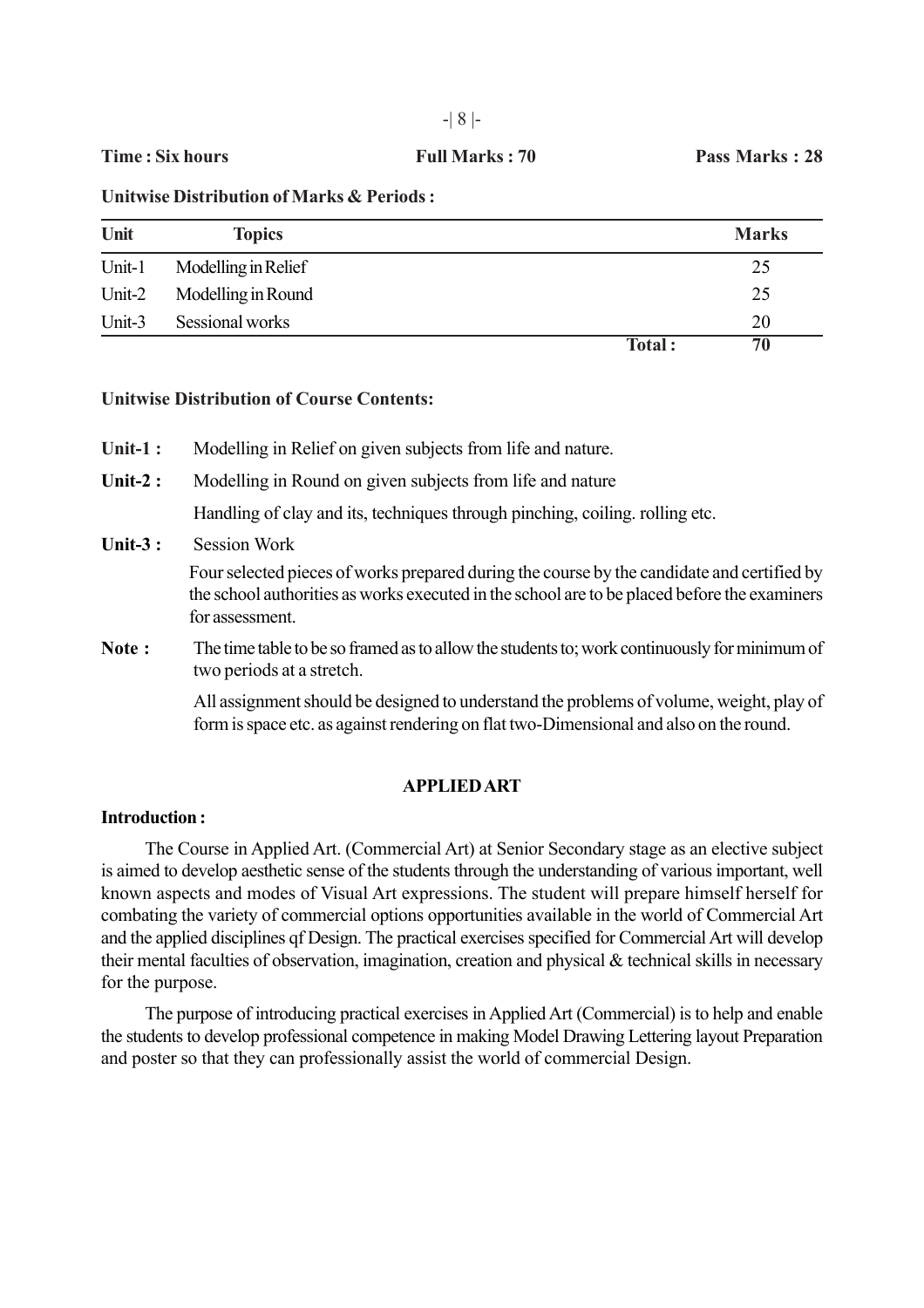**Unitwise Distribution of Marks & Periods :**

| Unit   | <b>Topics</b>       |        | <b>Marks</b> |
|--------|---------------------|--------|--------------|
| Unit-1 | Modelling in Relief |        | 25           |
| Unit-2 | Modelling in Round  |        | 25           |
| Unit-3 | Sessional works     |        | 20           |
|        |                     | Total: | 70           |

## **Unitwise Distribution of Course Contents:**

- **Unit-1 :** Modelling in Relief on given subjects from life and nature.
- **Unit-2 :** Modelling in Round on given subjects from life and nature

Handling of clay and its, techniques through pinching, coiling. rolling etc.

**Unit-3 :** Session Work

Four selected pieces of works prepared during the course by the candidate and certified by the school authorities as works executed in the school are to be placed before the examiners for assessment.

**Note :** The time table to be so framed as to allow the students to; work continuously for minimum of two periods at a stretch.

> All assignment should be designed to understand the problems of volume, weight, play of form is space etc. as against rendering on flat two-Dimensional and also on the round.

## **APPLIED ART**

#### **Introduction :**

The Course in Applied Art. (Commercial Art) at Senior Secondary stage as an elective subject is aimed to develop aesthetic sense of the students through the understanding of various important, well known aspects and modes of Visual Art expressions. The student will prepare himself herself for combating the variety of commercial options opportunities available in the world of Commercial Art and the applied disciplines qf Design. The practical exercises specified for Commercial Art will develop their mental faculties of observation, imagination, creation and physical & technical skills in necessary for the purpose.

The purpose of introducing practical exercises in Applied Art (Commercial) is to help and enable the students to develop professional competence in making Model Drawing Lettering layout Preparation and poster so that they can professionally assist the world of commercial Design.